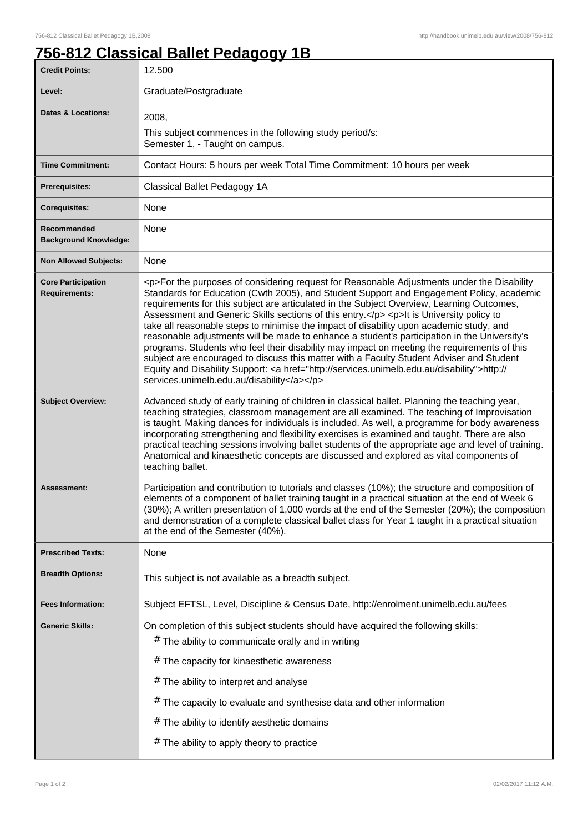## **756-812 Classical Ballet Pedagogy 1B**

| <b>Credit Points:</b>                             | 12.500                                                                                                                                                                                                                                                                                                                                                                                                                                                                                                                                                                                                                                                                                                                                                                                                                                                                                                                       |
|---------------------------------------------------|------------------------------------------------------------------------------------------------------------------------------------------------------------------------------------------------------------------------------------------------------------------------------------------------------------------------------------------------------------------------------------------------------------------------------------------------------------------------------------------------------------------------------------------------------------------------------------------------------------------------------------------------------------------------------------------------------------------------------------------------------------------------------------------------------------------------------------------------------------------------------------------------------------------------------|
| Level:                                            | Graduate/Postgraduate                                                                                                                                                                                                                                                                                                                                                                                                                                                                                                                                                                                                                                                                                                                                                                                                                                                                                                        |
| Dates & Locations:                                | 2008,<br>This subject commences in the following study period/s:<br>Semester 1, - Taught on campus.                                                                                                                                                                                                                                                                                                                                                                                                                                                                                                                                                                                                                                                                                                                                                                                                                          |
| <b>Time Commitment:</b>                           | Contact Hours: 5 hours per week Total Time Commitment: 10 hours per week                                                                                                                                                                                                                                                                                                                                                                                                                                                                                                                                                                                                                                                                                                                                                                                                                                                     |
| <b>Prerequisites:</b>                             | Classical Ballet Pedagogy 1A                                                                                                                                                                                                                                                                                                                                                                                                                                                                                                                                                                                                                                                                                                                                                                                                                                                                                                 |
|                                                   | None                                                                                                                                                                                                                                                                                                                                                                                                                                                                                                                                                                                                                                                                                                                                                                                                                                                                                                                         |
| <b>Corequisites:</b>                              |                                                                                                                                                                                                                                                                                                                                                                                                                                                                                                                                                                                                                                                                                                                                                                                                                                                                                                                              |
| Recommended<br><b>Background Knowledge:</b>       | None                                                                                                                                                                                                                                                                                                                                                                                                                                                                                                                                                                                                                                                                                                                                                                                                                                                                                                                         |
| <b>Non Allowed Subjects:</b>                      | None                                                                                                                                                                                                                                                                                                                                                                                                                                                                                                                                                                                                                                                                                                                                                                                                                                                                                                                         |
| <b>Core Participation</b><br><b>Requirements:</b> | <p>For the purposes of considering request for Reasonable Adjustments under the Disability<br/>Standards for Education (Cwth 2005), and Student Support and Engagement Policy, academic<br/>requirements for this subject are articulated in the Subject Overview, Learning Outcomes,<br/>Assessment and Generic Skills sections of this entry.</p> <p>lt is University policy to<br/>take all reasonable steps to minimise the impact of disability upon academic study, and<br/>reasonable adjustments will be made to enhance a student's participation in the University's<br/>programs. Students who feel their disability may impact on meeting the requirements of this<br/>subject are encouraged to discuss this matter with a Faculty Student Adviser and Student<br/>Equity and Disability Support: &lt; a href="http://services.unimelb.edu.au/disability"&gt;http://<br/>services.unimelb.edu.au/disability</p> |
| <b>Subject Overview:</b>                          | Advanced study of early training of children in classical ballet. Planning the teaching year,<br>teaching strategies, classroom management are all examined. The teaching of Improvisation<br>is taught. Making dances for individuals is included. As well, a programme for body awareness<br>incorporating strengthening and flexibility exercises is examined and taught. There are also<br>practical teaching sessions involving ballet students of the appropriate age and level of training.<br>Anatomical and kinaesthetic concepts are discussed and explored as vital components of<br>teaching ballet.                                                                                                                                                                                                                                                                                                             |
| Assessment:                                       | Participation and contribution to tutorials and classes (10%); the structure and composition of<br>elements of a component of ballet training taught in a practical situation at the end of Week 6<br>(30%); A written presentation of 1,000 words at the end of the Semester (20%); the composition<br>and demonstration of a complete classical ballet class for Year 1 taught in a practical situation<br>at the end of the Semester (40%).                                                                                                                                                                                                                                                                                                                                                                                                                                                                               |
| <b>Prescribed Texts:</b>                          | None                                                                                                                                                                                                                                                                                                                                                                                                                                                                                                                                                                                                                                                                                                                                                                                                                                                                                                                         |
| <b>Breadth Options:</b>                           | This subject is not available as a breadth subject.                                                                                                                                                                                                                                                                                                                                                                                                                                                                                                                                                                                                                                                                                                                                                                                                                                                                          |
| <b>Fees Information:</b>                          | Subject EFTSL, Level, Discipline & Census Date, http://enrolment.unimelb.edu.au/fees                                                                                                                                                                                                                                                                                                                                                                                                                                                                                                                                                                                                                                                                                                                                                                                                                                         |
| <b>Generic Skills:</b>                            | On completion of this subject students should have acquired the following skills:<br># The ability to communicate orally and in writing<br># The capacity for kinaesthetic awareness<br># The ability to interpret and analyse<br>$#$ The capacity to evaluate and synthesise data and other information<br># The ability to identify aesthetic domains<br># The ability to apply theory to practice                                                                                                                                                                                                                                                                                                                                                                                                                                                                                                                         |